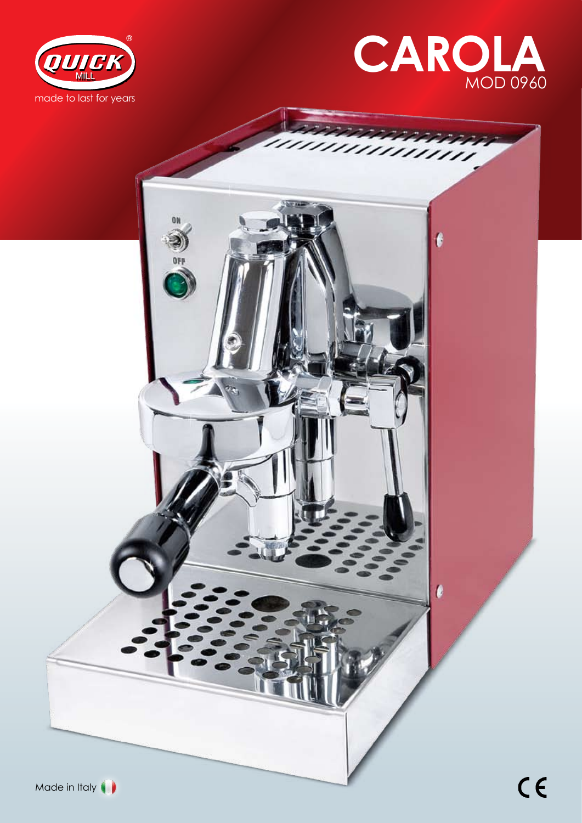